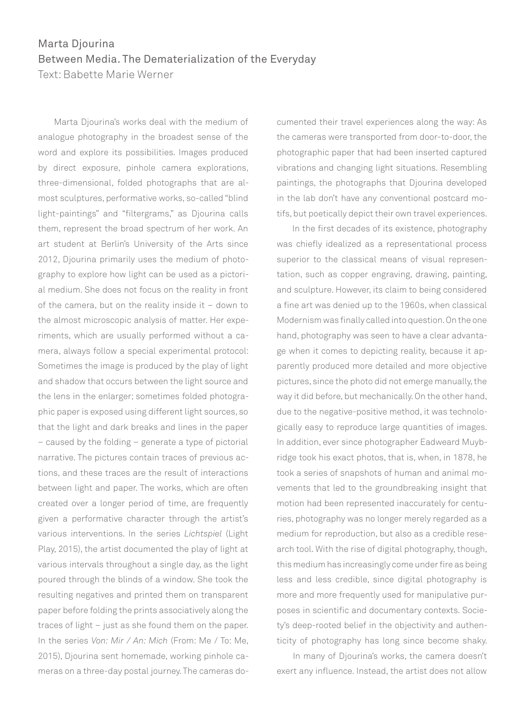## Marta Djourina Between Media. The Dematerialization of the Everyday

Text: Babette Marie Werner

 Marta Djourina's works deal with the medium of analogue photography in the broadest sense of the word and explore its possibilities. Images produced by direct exposure, pinhole camera explorations, three-dimensional, folded photographs that are almost sculptures, performative works, so-called "blind light-paintings" and "filtergrams," as Djourina calls them, represent the broad spectrum of her work. An art student at Berlin's University of the Arts since 2012, Djourina primarily uses the medium of photography to explore how light can be used as a pictorial medium. She does not focus on the reality in front of the camera, but on the reality inside it – down to the almost microscopic analysis of matter. Her experiments, which are usually performed without a camera, always follow a special experimental protocol: Sometimes the image is produced by the play of light and shadow that occurs between the light source and the lens in the enlarger; sometimes folded photographic paper is exposed using different light sources, so that the light and dark breaks and lines in the paper – caused by the folding – generate a type of pictorial narrative. The pictures contain traces of previous actions, and these traces are the result of interactions between light and paper. The works, which are often created over a longer period of time, are frequently given a performative character through the artist's various interventions. In the series *Lichtspiel* (Light Play, 2015), the artist documented the play of light at various intervals throughout a single day, as the light poured through the blinds of a window. She took the resulting negatives and printed them on transparent paper before folding the prints associatively along the traces of light – just as she found them on the paper. In the series *Von: Mir / An: Mich* (From: Me / To: Me, 2015), Djourina sent homemade, working pinhole cameras on a three-day postal journey. The cameras documented their travel experiences along the way: As the cameras were transported from door-to-door, the photographic paper that had been inserted captured vibrations and changing light situations. Resembling paintings, the photographs that Djourina developed in the lab don't have any conventional postcard motifs, but poetically depict their own travel experiences.

 In the first decades of its existence, photography was chiefly idealized as a representational process superior to the classical means of visual representation, such as copper engraving, drawing, painting, and sculpture. However, its claim to being considered a fine art was denied up to the 1960s, when classical Modernism was finally called into question. On the one hand, photography was seen to have a clear advantage when it comes to depicting reality, because it apparently produced more detailed and more objective pictures, since the photo did not emerge manually, the way it did before, but mechanically. On the other hand, due to the negative-positive method, it was technologically easy to reproduce large quantities of images. In addition, ever since photographer Eadweard Muybridge took his exact photos, that is, when, in 1878, he took a series of snapshots of human and animal movements that led to the groundbreaking insight that motion had been represented inaccurately for centuries, photography was no longer merely regarded as a medium for reproduction, but also as a credible research tool. With the rise of digital photography, though, this medium has increasingly come under fire as being less and less credible, since digital photography is more and more frequently used for manipulative purposes in scientific and documentary contexts. Society's deep-rooted belief in the objectivity and authenticity of photography has long since become shaky.

 In many of Djourina's works, the camera doesn't exert any influence. Instead, the artist does not allow